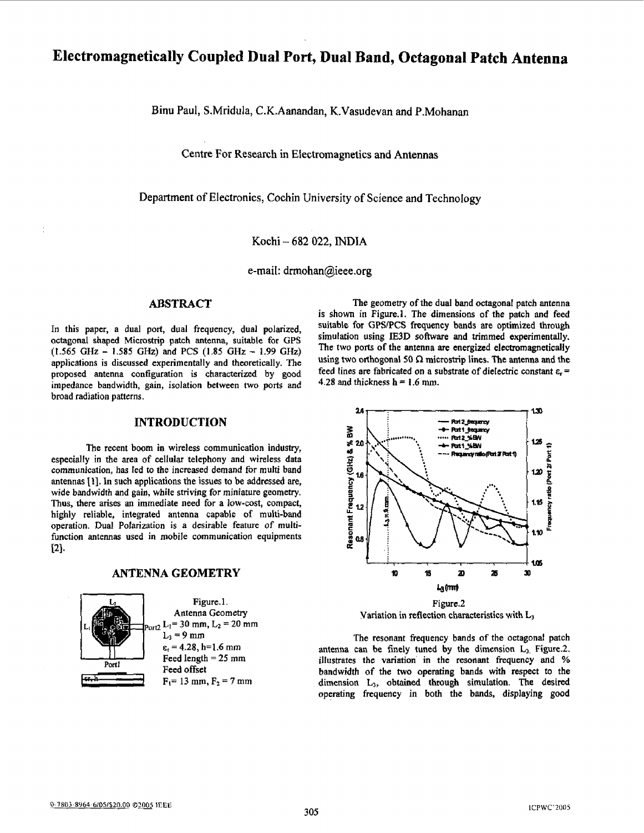# **Electromagnetically Coupled Dual Port, Dual Band, Octagonal Patch Antenna**

Binu Paul, S.Mridula, C.K.Aanandan, K.Vasudevan and P.Mohanan

**Centre** For Research **in** Ekctromagnetics and Antennas

Department of Electronics, Cochin University of Science and Technology

Kochi - 682 022, **INDIA** 

e-mail: [drmohan@ieee.org](mailto:drmohan@ieee.org)

# **ABSTRACT**

In this paper, a dual port, dual frequency, dual polarized, octagonal shaped **Microstrip** patch antenna, suitable for GPS applications is discussed experimentally and theoretically. The proposed antenna configuration is characterized **by good**  impedance bandwidth, gain, isolation between two ports and broad **radiation** patterns. *(1.565* **GHz** - **1.585 GFk)** *and* **PCS (1.85 GHz** - *1.99 GHz)* 

#### **INTRODUCTION**

**The** recent boom in wireless communication industry, especially in the area of cellular telephony and wireless data communication, **has** led to the increased demand **for** multi **band antennas 111.** In such applications the issues to be addressed **are,**  wide bandwidth and gain, while striving for miniature geometry. Thus, there arises **an** immediate need for a low-cost, compact, highly reliable, integrated antenna capable of multi-band operation. **Dual** Polarization is a desirable feature of multifunction antennas used in mobile communication equipments  $[2]$ .

## **ANTENNA GEOMETRY**



**The** geometry of the dual band octagonal patch antenna is shown in Figure.l. The dimensions of the patch and feed suitable for **GPSPCS** frequency **bands are** optimized **though**  simulation using **IE3D** software and trimmed experimentally. The **two** ports *of* the antenna are energized electromagnetically using two orthogonal 50  $\Omega$  microstrip lines. The antenna and the feed lines are fabricated on a substrate of dielectric **constant E,** = **4.28 and** thickness h = **1.6** mm.



**Variation** in reflection characteristics with **L,** 

The resonant frequency bands of the octagonal patch antenna **can** be finely tuned **by the** dimension **L3.** Figure.2. illustrates the variation' in the resonant frequency and % bandwidth of **the two** operating bands with respect to the dimension **L3, obtained through** simulation. The desired operating frequency in **both** the **bands,** displaying good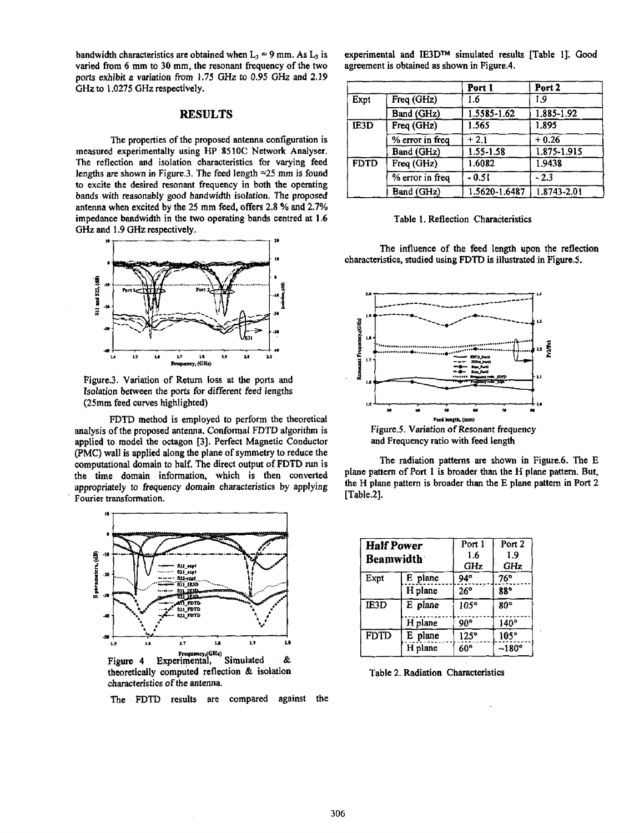bandwidth characteristics are obtained when  $L_3 = 9$  mm. As  $L_3$  is varied **from 6** mm **to** 30 mm, the resonant frequency of the **two**  ports exhibit *a* variation *from* **1.75** *GHz* to *0.95 GHz* **and 2.19 GHz** to 1,0275 *GHz* respectively.

The properties of the proposed antenna configuration is measured experimentally using **HP 85 1OC** Network Analyser. The reflection and isolation characteristics for varying feed lengths are **shown** in **Fignre.3.** The feed length *=25* **mm** is found **to excite** the desired **resonant** frequency in both **the** operating bands with reasonably *good* bandwidth **isolation.** The proposed antenna when excited **by** the **25 mm** feed, offers **2.8** % **and 2.7%**  impedance bandwidth in the two operating bands centred **at 1.6**  *GHz* **and** 1.9 *GHz* respectively.



**Figure.3.** Variation of **Return loss** at **the** ports and Isolation between the ports for different feed lengths **(25mm** feed curves highlighted)

**FDTD** method is employed to perform **the** theoretical analysis of the proposed antenna. Conformal FDTD algorithm **is**  applied to model the octagon **[3].** Perfect Magnetic Conductor (PMC) wall is applied along the plane of symmetry **to** reduce the computational domain to half, The direct output of **FDTD** run is the time domain information, which is then converted appropriately to frequency domain characteristics by applying Fourier transformation.



**Frequency,(GHz)**<br>Figure 4 Experimental, Simulated & theoretically computed reflection & isolation characteristics *of the* antenna.

The **FDTD** results are compared against **the** 

experimental and **IE3Dm** simulated results [Table **11: Good**  agreement is obtained **as** shown in Figure.4.

| tively.                                                                                                            |             |                 | Port 1        | Port <sub>2</sub> |  |
|--------------------------------------------------------------------------------------------------------------------|-------------|-----------------|---------------|-------------------|--|
| <b>RESULTS</b>                                                                                                     | Expt        | Freq (GHz)      | 1.6           | 1.9               |  |
|                                                                                                                    |             | Band (GHz)      | 1.5585-1.62   | 1.885-1.92        |  |
|                                                                                                                    | IE3D        | Freq (GHz)      | 1.565         | 1.895             |  |
| the proposed antenna configuration is                                                                              |             | % error in freq | $+2.1$        | $+0.26$           |  |
| using HP 8510C Network Analyser.<br>ion characteristics for varying feed<br>e.3. The feed length $=25$ mm is found |             | Band (GHz)      | 1.55-1.58     | 1.875-1.915       |  |
|                                                                                                                    | <b>FDTD</b> | Freq (GHz)      | 1.6082        | 1.9438            |  |
|                                                                                                                    |             | % error in freq | $-0.51$       | $-2.3$            |  |
| nant frequency in both the operating<br>d bandwidth isolation. The nronosed                                        |             | Band (GHz)      | 1.5620-1.6487 | 1.8743-2.01       |  |

Table 1. Reflection Characteristics

The influence of the feed length upon the reflection characteristics, studied using **FDTD** is illustrated in **FigureS.** 



The radiation patterns **are shown** in **Figure.6.** The E plane pattern of **Port 1** is broader than **the H** plane pattern. But, the H **ulane** oattern is broader than the E Dlane pattern in **Port** 2 [Table.2].

| <b>Half Power</b><br><b>Beamwidth</b> |         | Port 1<br>1.6<br>GHz | Port 2<br>1.9<br>GHz |
|---------------------------------------|---------|----------------------|----------------------|
| Expt                                  | E plane | $94^\circ$           | 76°                  |
|                                       | H plane | $26^\circ$           | 88°                  |
| IE3D                                  | E plane | $105^\circ$          | 80°                  |
|                                       | H plane | 90°                  | 140°                 |
| <b>FDTD</b>                           | E plane | 125°                 | $105^\circ$          |
|                                       | H plane | $60^\circ$           | $-180^\circ$         |

Table 2. Radiation Characteristics